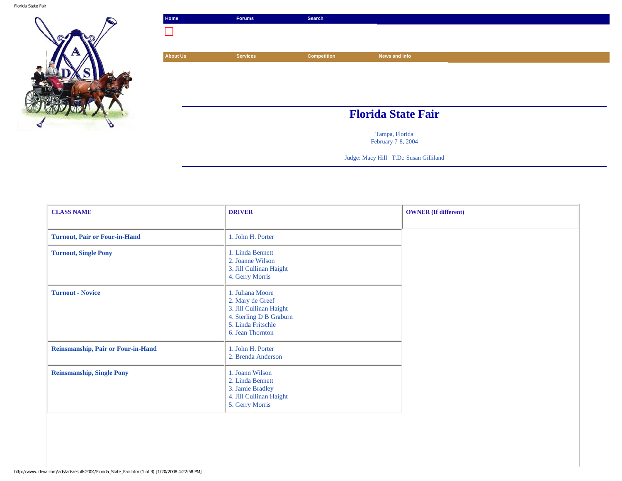

| Home     | <b>Forums</b>   | Search             |                           |
|----------|-----------------|--------------------|---------------------------|
| $\Box$   |                 |                    |                           |
|          |                 |                    |                           |
| About Us | <b>Services</b> | <b>Competition</b> | News and Info             |
|          |                 |                    |                           |
|          |                 |                    |                           |
|          |                 |                    |                           |
|          |                 |                    |                           |
|          |                 |                    | <b>Florida State Fair</b> |
|          |                 |                    | Tampa, Florida            |

February 7-8, 2004

Judge: Macy Hill T.D.: Susan Gilliland

| <b>CLASS NAME</b>                    | <b>DRIVER</b>                                                                                                                        | <b>OWNER</b> (If different) |
|--------------------------------------|--------------------------------------------------------------------------------------------------------------------------------------|-----------------------------|
| <b>Turnout, Pair or Four-in-Hand</b> | 1. John H. Porter                                                                                                                    |                             |
| <b>Turnout, Single Pony</b>          | 1. Linda Bennett<br>2. Joanne Wilson<br>3. Jill Cullinan Haight<br>4. Gerry Morris                                                   |                             |
| <b>Turnout - Novice</b>              | 1. Juliana Moore<br>2. Mary de Greef<br>3. Jill Cullinan Haight<br>4. Sterling D B Graburn<br>5. Linda Fritschle<br>6. Jean Thornton |                             |
| Reinsmanship, Pair or Four-in-Hand   | 1. John H. Porter<br>2. Brenda Anderson                                                                                              |                             |
| <b>Reinsmanship, Single Pony</b>     | 1. Joann Wilson<br>2. Linda Bennett<br>3. Jamie Bradley<br>4. Jill Cullinan Haight<br>5. Gerry Morris                                |                             |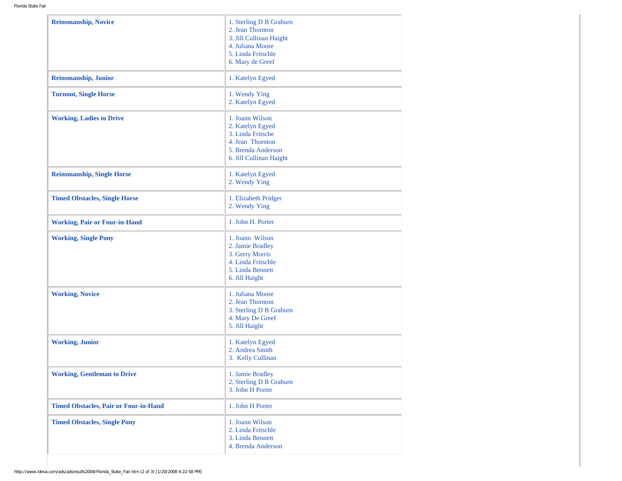| <b>Reinsmanship, Novice</b>                  | 1. Sterling D B Graburn<br>2. Jean Thornton<br>3. Jill Cullinan Haight<br>4. Juliana Moore<br>5. Linda Fritschle<br>6. Mary de Greef |
|----------------------------------------------|--------------------------------------------------------------------------------------------------------------------------------------|
| Reinsmanship, Junior                         | 1. Katelyn Egyed                                                                                                                     |
| <b>Turnout, Single Horse</b>                 | 1. Wendy Ying<br>2. Katelyn Egyed                                                                                                    |
| <b>Working, Ladies to Drive</b>              | 1. Joann Wilson<br>2. Katelyn Egyed<br>3. Linda Fritsche<br>4. Jean Thornton<br>5. Brenda Anderson<br>6. Jill Cullinan Haight        |
| <b>Reinsmanship, Single Horse</b>            | 1. Katelyn Egyed<br>2. Wendy Ying                                                                                                    |
| <b>Timed Obstacles, Single Horse</b>         | 1. Elizabeth Pridger<br>2. Wendy Ying                                                                                                |
| <b>Working, Pair or Four-in-Hand</b>         | 1. John H. Porter                                                                                                                    |
| <b>Working, Single Pony</b>                  | 1. Joann Wilson<br>2. Jamie Bradley<br>3. Gerry Morris<br>4. Linda Fritschle<br>5. Linda Bennett<br>6. Jill Haight                   |
| <b>Working, Novice</b>                       | 1. Juliana Moore<br>2. Jean Thornton<br>3. Sterling D B Graburn<br>4. Mary De Greef<br>5. Jill Haight                                |
| <b>Working, Junior</b>                       | 1. Katelyn Egyed<br>2. Andrea Smith<br>3. Kelly Cullinan                                                                             |
| <b>Working, Gentleman to Drive</b>           | 1. Jamie Bradley<br>2. Sterling D B Graburn<br>3. John H Porter                                                                      |
| <b>Timed Obstacles, Pair or Four-in-Hand</b> | 1. John H Porter                                                                                                                     |
| <b>Timed Obstacles, Single Pony</b>          | 1. Joann Wilson<br>2. Linda Fritschle<br>3. Linda Bennett<br>4. Brenda Anderson                                                      |